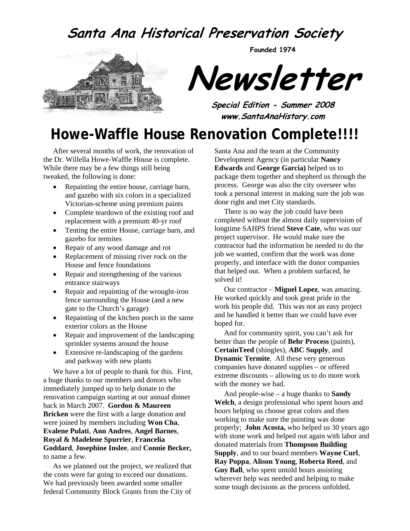### **Santa Ana Historical Preservation Society**



**Founded 1974** 

**Newsletter** 

**Special Edition - Summer 2008 www.SantaAnaHistory.com** 

## **Howe-Waffle House Renovation Complete!!!!**

After several months of work, the renovation of the Dr. Willella Howe-Waffle House is complete. While there may be a few things still being tweaked, the following is done:

- Repainting the entire house, carriage barn, and gazebo with six colors in a specialized Victorian-scheme using premium paints
- Complete teardown of the existing roof and replacement with a premium 40-yr roof
- Tenting the entire House, carriage barn, and gazebo for termites
- Repair of any wood damage and rot
- Replacement of missing river rock on the House and fence foundations
- Repair and strengthening of the various entrance stairways
- Repair and repainting of the wrought-iron fence surrounding the House (and a new gate to the Church's garage)
- Repainting of the kitchen porch in the same exterior colors as the House
- Repair and improvement of the landscaping sprinkler systems around the house
- Extensive re-landscaping of the gardens and parkway with new plants

We have a lot of people to thank for this. First, a huge thanks to our members and donors who immediately jumped up to help donate to the renovation campaign starting at our annual dinner back in March 2007. **Gordon & Maureen Bricken** were the first with a large donation and were joined by members including **Won Cha**, **Evalene Pulati**, **Ann Andres**, **Angel Barnes**, **Royal & Madelene Spurrier**, **Francelia Goddard**, **Josephine Inslee**, and **Connie Becker,** to name a few.

As we planned out the project, we realized that the costs were far going to exceed our donations. We had previously been awarded some smaller federal Community Block Grants from the City of Santa Ana and the team at the Community Development Agency (in particular **Nancy Edwards** and **George Garcia)** helped us to package them together and shepherd us through the process. George was also the city overseer who took a personal interest in making sure the job was done right and met City standards.

There is no way the job could have been completed without the almost daily supervision of longtime SAHPS friend **Steve Cate**, who was our project supervisor. He would make sure the contractor had the information he needed to do the job we wanted, confirm that the work was done properly, and interface with the donor companies that helped out. When a problem surfaced, he solved it!

Our contractor – **Miguel Lopez**, was amazing. He worked quickly and took great pride in the work his people did. This was not an easy project and he handled it better than we could have ever hoped for.

And for community spirit, you can't ask for better than the people of **Behr Process** (paints), **CertainTeed** (shingles), **ABC Supply**, and **Dynamic Termite**. All these very generous companies have donated supplies – or offered extreme discounts – allowing us to do more work with the money we had.

And people-wise – a huge thanks to **Sandy Welch**, a design professional who spent hours and hours helping us choose great colors and then working to make sure the painting was done properly; **John Acosta,** who helped us 30 years ago with stone work and helped out again with labor and donated materials from **Thompson Building Supply**, and to our board members **Wayne Curl**, **Ray Poppa**, **Alison Young**, **Roberta Reed**, and **Guy Ball**, who spent untold hours assisting wherever help was needed and helping to make some tough decisions as the process unfolded.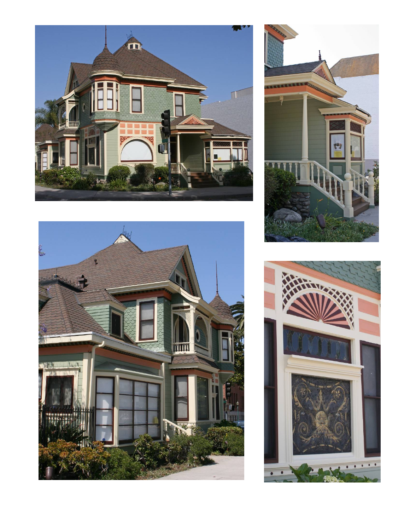





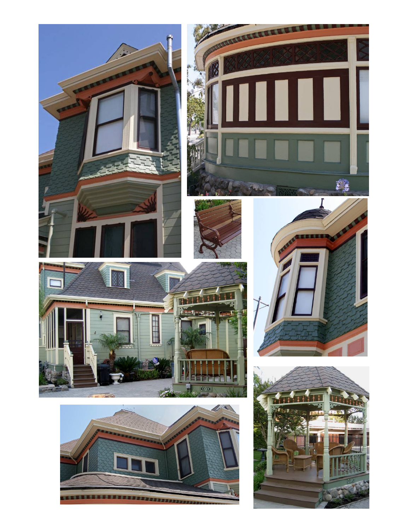











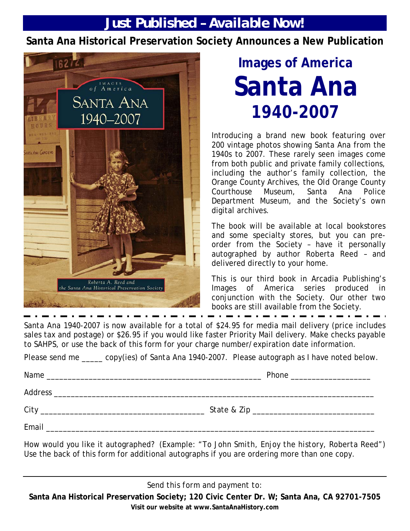### *Just Published – Available Now!*

**Santa Ana Historical Preservation Society Announces a New Publication** 



# **Images of America Santa Ana 1940-2007**

Introducing a brand new book featuring over 200 vintage photos showing Santa Ana from the 1940s to 2007. These rarely seen images come from both public and private family collections, including the author's family collection, the Orange County Archives, the Old Orange County Courthouse Museum, Santa Ana Police Department Museum, and the Society's own digital archives.

The book will be available at local bookstores and some specialty stores, but you can preorder from the Society – have it personally autographed by author Roberta Reed – and delivered directly to your home.

This is our third book in Arcadia Publishing's *Images of America* series produced in conjunction with the Society. Our other two books are still available from the Society.

*Santa Ana 1940-2007* is now available for a total of \$24.95 for media mail delivery (price includes sales tax and postage) or \$26.95 if you would like faster Priority Mail delivery. Make checks payable to SAHPS, or use the back of this form for your charge number/expiration date information.

Please send me \_\_\_\_\_ copy(ies) of *Santa Ana 1940-2007*. Please autograph as I have noted below.

|       | Phone ______________________ |
|-------|------------------------------|
|       |                              |
|       |                              |
| Email |                              |

How would you like it autographed? (Example: *"To John Smith, Enjoy the history, Roberta Reed")*  Use the back of this form for additional autographs if you are ordering more than one copy.

*Send this form and payment to:* 

**Santa Ana Historical Preservation Society; 120 Civic Center Dr. W; Santa Ana, CA 92701-7505 Visit our website at www.SantaAnaHistory.com**